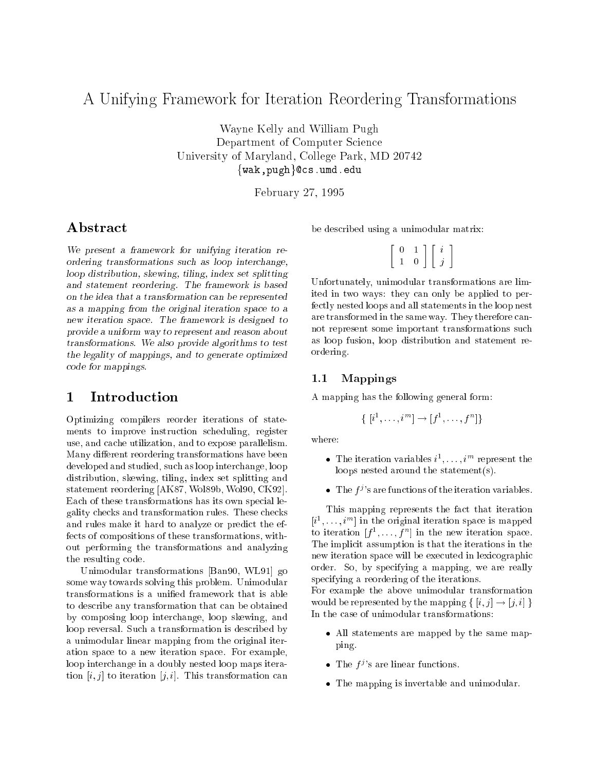# A Unifying Framework for Iteration Reordering Transformations

 $\mathcal{L}$  was  $\mathcal{L}$  and  $\mathcal{L}$  and  $\mathcal{L}$  and  $\mathcal{L}$  and  $\mathcal{L}$  and  $\mathcal{L}$  and  $\mathcal{L}$  and  $\mathcal{L}$  and  $\mathcal{L}$  and  $\mathcal{L}$  and  $\mathcal{L}$  and  $\mathcal{L}$  and  $\mathcal{L}$  and  $\mathcal{L}$  and  $\mathcal{L}$  and  $\mathcal{L}$  and Department of Computer Science University of Maryland, College Park, MD <sup>20742</sup>  $\{wak, pugh\}$ @cs.umd.edu

February 27, <sup>1995</sup>

### Abstract

We present <sup>a</sup> framework for unifying iteration reordering transformations such as loop interchange, loop distribution, skewing, tiling, index set splitting and statement recordering. The framework is based in on the idea that <sup>a</sup> transformation can be represented as a mapping from the original iteration space to a new iteration space. The framework is designed to the framework is designed to the framework is designed to the provide <sup>a</sup> uniform way to represent and reason about  $\mathbf{r}$  and  $\mathbf{r}$  algorithms to test provide algorithms to test provide a gradient strategies of  $\mathbf{r}$  $t =$  . If the legality of mapping  $\alpha$  and the generation optimized optimized optimized optimized optimized optimized optimized optimized optimized optimized optimized optimized optimized optimized optimized optimized opt code for many products.

Optimizing compilers reorder iterations of statements to improve instruction scheduling, register use, and cache utilization, and to expose parallelism. Many different reordering transformations have been developed and studied, such as loop interchange, loop distribution, skewing, tiling, index set splitting and statement reordering [AK87, Wol89b, Wol90, CK92]. Each of these transformations has its own special legality checks and transformation rules. These checks and rules make it hard to analyze or predict the effects of compositions of these transformations, without performing the transformations and analyzing the resulting code.

Unimodular transformations [Ban90, WL91] go some way towards solving this problem. Unimodular transformations is a unied framework that is able to describe any transformation that can be obtained by composing loop interchange, loop skewing, and loop reversal. Such a transformation is described by a unimodular linear mapping from the original iteration space to a new iteration space. For example, loop interchange in a doubly nested loop maps iteration  $[i, j]$  to iteration  $[j, i]$ . This transformation can be described using a unimodular matrix:

| - | L |  |
|---|---|--|

Unfortunately, unimodular transformations are limited in two ways: they can only be applied to perfectly nested loops and all statements in the loop nest are transformed in the same way. They therefore cannot represent some important transformations such as loop fusion, loop distribution and statement reordering.

### 1.1Mappings

A mapping has the following general form:

$$
\{ [i^1, \ldots, i^m] \rightarrow [f^1, \ldots, f^n] \}
$$

where:

- Ine iteration variables  $i^{\dagger}, \ldots, i^{\dagger}$  represent the loops nested around the statement(s).
- The  $f^j$ 's are functions of the iteration variables.

This mapping represents the fact that iteration  $[i^{\star}, \ldots, i^{\star}]$  in the original iteration space is mapped to iteration  $f: [f^*], [f^*]$  in the new iteration space. The implicit assumption is that the iterations in the new iteration space will be executed in lexicographic order. So, by specifying a mapping, we are really specifying a reordering of the iterations.

For example the above unimodular transformation would be represented by the mapping  $\{ [i, j] \rightarrow [j, i] \}$ In the case of unimodular transformations:

- All statements are mapped by the same mapping.
- The  $f^j$ 's are linear functions.
- The mapping is invertable and unimodular.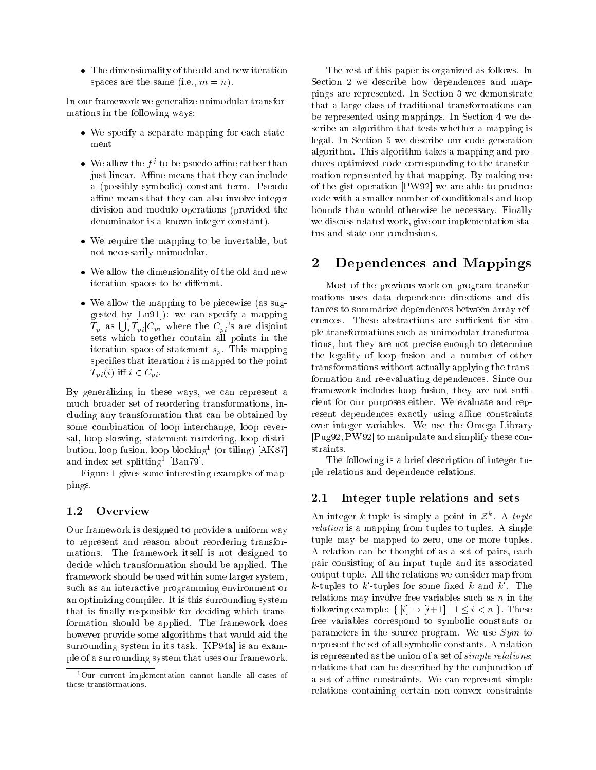The dimensionality of the old and new iteration spaces are the same (i.e.,  $m = n$ ).

In our framework we generalize unimodular transformations in the following ways:

- where  $\alpha$  is the separate mapping for each state-state-state-state-state-state-state-state-state-state-statement
- $\bullet$  we allow the  $I'$  to be psuedo amile rather than just linear. Affine means that they can include a (possibly symbolic) constant term. Pseudo affine means that they can also involve integer division and modulo operations (provided the denominator is a known integer constant).
- we require the mapping to the map the mapping to not necessarily unimodular.
- we allow the dimensional interesting of the old and new dimension iteration spaces to be different.
- $W = W$  as sub-piecewise (as sug-piecewise (as sug-piecewise (as sug-piecewise (as sug-piecewise (as sug-piecewise (as sug-piecewise (as sub-piecewise (as sub-piecewise (as sub-piecewise (as sub-piecewise (as sub-piecewise gested by [Lu91]): we can specify a mapping  $T_p$  as  $\bigcup_i T_{pi}$   $|C_{pi}|$  where the  $C_{pi}$ 's are disjoint sets which together contain all points in the iteration space of statement  $s_n$ . This mapping specifies that iteration  $i$  is mapped to the point  $T_{pi}(i)$  iff  $i \in C_{pi}$ .

By generalizing in these ways, we can represent a much broader set of reordering transformations, including any transformation that can be obtained by some combination of loop interchange, loop reversal, loop skewing, statement reordering, loop distri- $\mathfrak{b}$ ution, loop  $\mathfrak{g}$  is to blocking  $\mathfrak{c}$  (or tiling) [AK87] and index set splitting - [Dan79].

Figure 1 gives some interesting examples of mappings.

### 1.2**Overview**

Our framework is designed to provide a uniform way to represent and reason about reordering transformations. The framework itself is not designed to decide which transformation should be applied. The framework should be used within some larger system, such as an interactive programming environment or an optimizing compiler. It is this surrounding system that is finally responsible for deciding which transformation should be applied. The framework does however provide some algorithms that would aid the surrounding system in its task. [KP94a] is an example of a surrounding system that uses our framework.

The rest of this paper is organized as follows. In Section 2 we describe how dependences and mappings are represented. In Section 3 we demonstrate that a large class of traditional transformations can be represented using mappings. In Section 4 we describe an algorithm that tests whether a mapping is legal. In Section 5 we describe our code generation algorithm. This algorithm takes a mapping and produces optimized code corresponding to the transformation represented by that mapping. By making use of the gist operation [PW92] we are able to produce code with a smaller number of conditionals and loop bounds than would otherwise be necessary. Finally we discuss related work, give our implementation status and state our conclusions.

### $\overline{2}$ Dependences and Mappings

Most of the previous work on program transformations uses data dependence directions and distances to summarize dependences between array references. These abstractions are sufficient for simple transformations such as unimodular transformations, but they are not precise enough to determine the legality of loop fusion and a number of other transformations without actually applying the transformation and re-evaluating dependences. Since our framework includes loop fusion, they are not sufficient for our purposes either. We evaluate and represent dependences exactly using affine constraints over integer variables. We use the Omega Library [Pug92, PW92] to manipulate and simplify these constraints.

The following is a brief description of integer tuple relations and dependence relations.

### 2.1Integer tuple relations and sets

An integer  $\kappa$ -tuple is simply a point in  $\mathcal{Z}$  . A *tuple* relations to the mapping from the tuples to tuples to the singlet tuple may be mapped to zero, one or more tuples. A relation can be thought of as a set of pairs, each pair consisting of an input tuple and its associated output tuple. All the relations we consider map from  $\kappa$ -tuples to  $\kappa$  -tuples for some fixed  $\kappa$  and  $\kappa$  . The relations may involve free variables such as  $n$  in the following example:  $\{ [i] \rightarrow [i+1] \mid 1 \leq i \leq n \}$ . These free variables correspond to symbolic constants or parameters in the source program. We use  $Sym$  to represent the set of all symbolic constants. A relation is represented as the union of a set of simple relations: relations that can be described by the conjunction of a set of affine constraints. We can represent simple relations containing certain non-convex constraints

<sup>1</sup>Our current implementation cannot handle all cases of these transformations.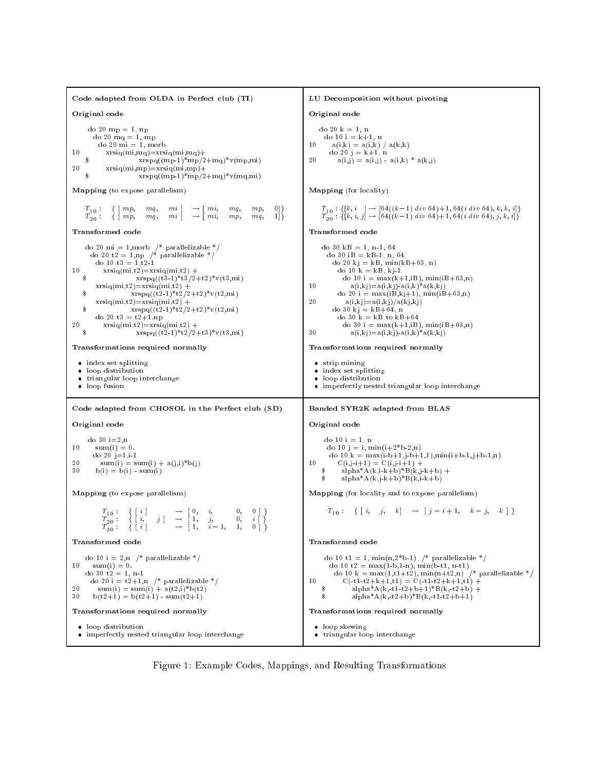Code adapted from OLDA in Perfect club (TI) LU Decomposition without pivoting Original code Original code Original code Original code do 20 mp = 1, np do 20  $k = 1$ . n a = 20 km do 20 mq = 1, mp do 20 mi = 1, morb do 10 i  $\sim$  10 i  $\sim$  10 i  $\sim$  10 i  $\sim$  10 i  $\sim$  10 i  $\sim$  11 i  $\sim$  11 i  $\sim$  $10$  $xrsiq(mi,mq)=xrsiq(mi,mq)+$ 10 av. - and and a control and and a control and a control and a control and a control and a control and a con  $10$ a <u>- k</u> + k+  $xrspq((mp-1)*mp/2+mq)*v(mp,mi)$  $20$  $a(i,j) = a(i,j) - a(i,k) * a(k,j)$  $\mathbf{Q}$ 20  $xrsiq(min,mp)=xrsiq(min,mp)+$ <br> $xrsiq(min,mp)=xrsiq(min,mp)/2$  $xrspq((mp-1)*mp/2+mq)*v(mq,mi)$ Mapping (for locality) Mapping (to expose parallelism)  $T_{10}:\quad \{\ [\ m p, \quad m q, \quad m i\ ]$  $T_{20}$ : { [ mp, mq, mi ]  $\rightarrow$  [ mi, mp, mq, 1]}  $T_{20} : \{ [k, i, j] \rightarrow [64((k-1) \text{ div } 64) + 1, 64(i \text{ div } 64), j, k, i] \}$ Transformed code Transformed code do 20 t2 = 1,np  $\frac{1}{2}$  parallelizable \*/ do 30 iB =  $kB-1$ , n, 64 do 10 t3 =  $1, t2.1$ do 20 kj = kB, min(kB+63, n)  $10$  $xrsiq(mi,t2)=xrsiq(mi,t2) +$ <br> $xrsn(q(t+3,1)*t3/2$ do 10 k = kB, kj $1\,$  $xrspq((t3-1)*t3/2+t2)*v(t3,mi)$ do 10 i =  $max(k+1,iB)$ ,  $min(iB+63,n)$  $xrsiq(mi,t2)=xrsiq(mi,t2) +$ 10  $a(i,kj)=a(i,kj) - a(i,k)*a(k,kj)$  $x \, \text{rspq}((t2\,1)*t2/2+t2)*v(t2,\text{mi})$  $\hat{\mathbf{s}}$ do 20 i =  $max(iB, kj+1), min(iB+63, n)$  $xrsiq(mi,t2)=xrsiq(mi,t2) +$  $20$  $a(i,kj)=a(i,kj)/a(kj,kj)$  $\hat{\mathbf{s}}$  $x\operatorname{rspq}((\overset{\cdot}{\operatorname{t}}\overset{\cdot}{2}\vphantom{z}1)^*\overset{\cdot}{\operatorname{t}}\overset{\cdot}{2}/2+\varepsilon2)^*\widetilde{v}(\varepsilon2,\overset{\cdot}{\operatorname{mi}})$ do 30 kj $\,=$  kB+64, n do 20 $\mathrm{t3} = \mathrm{t2+1, np}$ do 30 k = kB to  $kB+64$ 20  $xrsiq(mi,t2)=xrsiq(mi,t2) +$  $\mathtt{x}\!\!\;\mathtt{r}\!\!\;\mathtt{s}\!\!\;\mathtt{p}\!\!\;\mathtt{q}((\mathtt{t}\smash{2}\!\!\;\mathtt{1})\!\!\;\mathtt{*}\!\!\;\mathtt{t}\!\!\;\mathtt{2}\!\!\;/\mathtt{2}\!\!\;\mathtt{+}\!\!\;\mathtt{t}\smash{3})\!\!\;\mathtt{*}\!\!\;\mathtt{v}(\mathtt{t}\smash{3},\mathtt{mi})$ 30  $a(i,kj) = a(i,kj) \cdot a(i,k)^* a(k,kj)$ 30 Transformations required normally Transformations required normally index set splitting strip mining loop distribution and some second the second second second second second second second second second second second second second second second second second second second second second second second second second second se index set splitting triangular loop interchange loop distribution loop fusion imperfectly nested triangular loop interchange Code adapted from CHOSOL in the Perfect club (SD) Banded SYR2K adapted from BLAS Original code Original code Original code do 30 i=2,n do 10 i = 1. n  $10$  $d = 1, d = 1, \ldots, n$  is the 10 in  $\mathbb{Z}^n$ 10 sum(i) = 0.  $\alpha$  is a construction of  $\alpha$  and  $\alpha$ do 20 j=1,i-1 20  $10$ do 10 km  $\pm$  1, it is the maximum function of  $\pm$  $20 \quad b(i) = b(i) \cdot sum(i)$ 10 C(i,j-i+1) + C(i,j-i+1) + C(i,j-i+1) + C(i,j-i+1) + C(i,j-i+1) + C(i,j-i+1) + C(i,j-i+1) + C(i,j-i+1) + C(i 30  $\frac{1}{3}$  alpha\*A(k,j-k+b)\*B(k,j-k+b) Mapping (to expose parallelism) Mapping (for locality and to expose parallelism)  $\begin{array}{cccc} T_{10} : & \left\{ \begin{array}{ccc} i, & j \end{array} \right\} & \rightarrow \begin{array}{ccc} 1, & j, & 0, & i \end{array} \end{array} \begin{array}{c} 1 \ \left\{ \begin{array}{ccc} i, & j \end{array} \right\} & \rightarrow \begin{array}{ccc} 1, & j, & 0, & i \end{array} \end{array}$ ונויי ולידור לא יכון וביות היותר וביותר ו do 10 i = 2,n  $\left/ *$  parallelizable  $\left. * \right/$ do 10 t1 = 1, min(n,2\*b-1) /\* parallelizable \*/  $10<sup>1</sup>$  $sum(i) = 0.$ do 10 t2  $\mathbf{1}$  t2  $\mathbf{1}$  t2  $\mathbf{1}$  t2 t3  $\mathbf{1}$ do  $30 \text{ t2} = 1$ , n-1  $C(-t1-t2+k+1,t1) = C(-t1+t2+k+1,t1) +$ do 20 i = t2+1,n /\* parallelizable \*/ do 10 km = ministration (1,the first first first first parallelizable to the first first first first first fir  $10$ 20 30 b(t2+1) = b(t2+1)  $\text{sum}(t2+1)$  $\sinh^*A(k, t^2+b)*B(k, t^2+b+1)$ 30 Transformations required normally Transformations required normally • loop distribution • loop skewing loop distribution loop skewing imperfectly nested triangular loop interchange triangular loop interchange

Figure 1: Example Codes, Mappings, and Resulting Transformations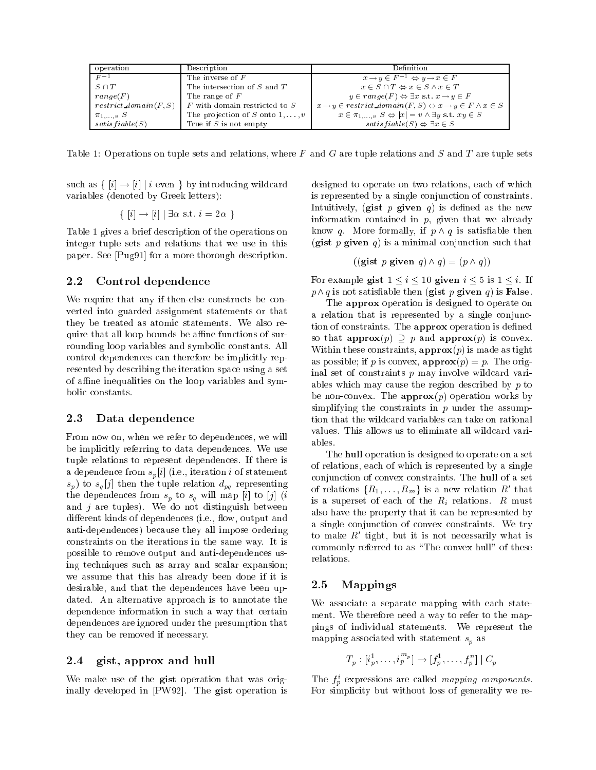| operation                | Description                             | Definition                                                                                        |
|--------------------------|-----------------------------------------|---------------------------------------------------------------------------------------------------|
| $F^{-1}$                 | The inverse of $F$                      | $x \to y \in F^{-1} \Leftrightarrow y \to x \in F$                                                |
| $S \cap T$               | The intersection of S and T             | $x \in S \cap T \Leftrightarrow x \in S \wedge x \in T$                                           |
| range(F)                 | The range of $F$                        | $y \in range(F) \Leftrightarrow \exists x \text{ s.t. } x \rightarrow y \in F$                    |
| $restrict\ domain(F, S)$ | $F$ with domain restricted to $S$       | $x \rightarrow y \in restrict\_domain(F, S) \Leftrightarrow x \rightarrow y \in F \wedge x \in S$ |
| $\pi_{1,\ldots,v}$ S     | The projection of S onto $1, \ldots, v$ | $x \in \pi_1, \ldots, s \Leftrightarrow  x  = v \wedge \exists y \text{ s.t. } xy \in S$          |
| satisfiable(S)           | True if $S$ is not empty                | $satisfiable(S) \Leftrightarrow \exists x \in S$                                                  |

Table 1: Operations on tuple sets and relations, where  $F$  and  $G$  are tuple relations and  $S$  and  $T$  are tuple sets

such as  $\{ |i| \rightarrow |i| | i \text{ even } \}$  by introducing wildcard variables (denoted by Greek letters):

$$
\{ [i] \rightarrow [i] | \exists \alpha \text{ s.t. } i = 2\alpha \}
$$

Table 1 gives a brief description of the operations on integer tuple sets and relations that we use in this paper. See [Pug91] for a more thorough description.

#### 2.2Control dependence

We require that any if-then-else constructs be converted into guarded assignment statements or that they be treated as atomic statements. We also require that all loop bounds be affine functions of surrounding loop variables and symbolic constants. All control dependences can therefore be implicitly represented by describing the iteration space using a set of affine inequalities on the loop variables and symbolic constants.

#### 2.3 Data dependence

From now on, when we refer to dependences, we will be implicitly referring to data dependences. We use tuple relations to represent dependences. If there is a dependence from set  $p$  (i.e., iteration is statement of statement of statement of statement of statement of statement of statement of statement of statement of statement of statement of statement of statement of statem s p) to <sup>s</sup> <sup>q</sup> [j] then the tuple relation dpq representing the dependence from space  $p$  to square from  ${\bf r}$  (ii) to [y] (ii and  $j$  are tuples). We do not distinguish between different kinds of dependences (i.e., flow, output and anti-dependences) because they all impose ordering constraints on the iterations in the same way. It is possible to remove output and anti-dependences using techniques such as array and scalar expansion; we assume that this has already been done if it is desirable, and that the dependences have been updated. An alternative approach is to annotate the dependence information in such a way that certain dependences are ignored under the presumption that they can be removed if necessary.

#### 2.4gist, approx and hull

We make use of the gist operation that was originally developed in [PW92]. The gist operation is designed to operate on two relations, each of which is represented by a single conjunction of constraints. Intuitively, (gist p given q) is defined as the new information contained in  $p$ , given that we already know q. More formally, if  $p \wedge q$  is satisfiable then (gist p given q) is a minimal conjunction such that

$$
((\text{gist } p \text{ given } q) \land q) = (p \land q))
$$

For example gist  $1 \le i \le 10$  given  $i \le 5$  is  $1 \le i$ . If  $p \wedge q$  is not satisfiable then (gist p given q) is False.

The **approx** operation is designed to operate on a relation that is represented by a single conjunction of constraints. The approx operation is defined so that  $\text{approx}(p) \supset p$  and  $\text{approx}(p)$  is convex. Within these constraints,  $\text{approx}(p)$  is made as tight as possible; if p is convex,  $\text{approx}(p) = p$ . The original set of constraints  $p$  may involve wildcard variables which may cause the region described by  $p$  to be non-convex. The  $approx(p)$  operation works by simplifying the constraints in  $p$  under the assumption that the wildcard variables can take on rational values. This allows us to eliminate all wildcard variables.

The hull operation is designed to operate on a set of relations, each of which is represented by a single conjunction of convex constraints. The hull of a set of relations  $\{R_1,\ldots,R_m\}$  is a new relation  $R_0$  that is a superset of each of the  $R_i$  relations. R must also have the property that it can be represented by a single conjunction of convex constraints. We try to make  $\kappa$  tight, but it is not necessarily what is commonly referred to as "The convex hull" of these relations.

### Mappings  $2.5\,$

We associate a separate mapping with each statement. We therefore need a way to refer to the mappings of individual statements. We represent the mapping associated with statement statement statement statement statement statement statement statement statement statement statement statement statement statement statement statement statement statement statement stateme

$$
T_p : [i_p^1, \ldots, i_p^{m_p}] \rightarrow [f_p^1, \ldots, f_p^n] \mid C_p
$$

I he  $f_n$  expressions are called *mapping components*. For simplicity but without loss of generality we re-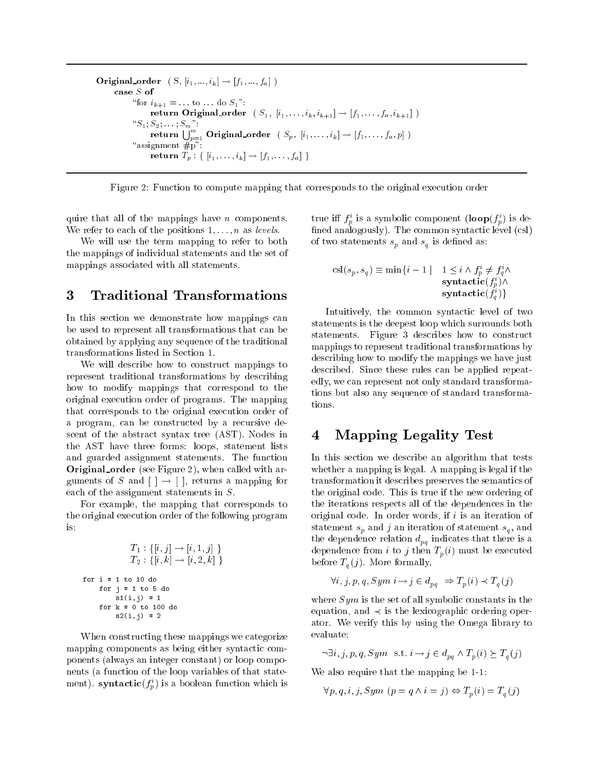```
Original order ( S, [i1; :::; ik] ! [f1; :::; fa] )
                    "for i_{k+1} = ... to ... do S_1":
                              return Original order ( S1; [i1; : : : ; ik; ik+1] ! [f1 ; : : : ; fa; ik+1] )
                    \cdots in \cdots zi \cdots in \cdots in \cdotsreturn \bigcup_{n=1}^m Original_order ( S_p,~[i_1,\ldots,i_k]\rightarrow [f_1,\ldots,f_a,p] )
                    \mathbb{R} \mathbb{R} \mathbb{R} \mathbb{R} \mathbb{R} \mathbb{R} \mathbb{R} \mathbb{R} \mathbb{R} \mathbb{R} \mathbb{R} \mathbb{R} \mathbb{R} \mathbb{R} \mathbb{R} \mathbb{R} \mathbb{R} \mathbb{R} \mathbb{R} \mathbb{R} \mathbb{R} \mathbb{R} \mathbb{R} \mathbb{R} \mathbb{return Tp : f [i1; : : : ; ik] ! [f1; : : : ; fa] g
```


quire that all of the mappings have  $n$  components. We refer to each of the positions  $1, \ldots, n$  as levels.

We will use the term mapping to refer to both the mappings of individual statements and the set of mappings associated with all statements.

# 3 Traditional Transformations

In this section we demonstrate how mappings can be used to represent all transformations that can be obtained by applying any sequence of the traditional transformations listed in Section 1.

We will describe how to construct mappings to represent traditional transformations by describing how to modify mappings that correspond to the original execution order of programs. The mapping that corresponds to the original execution order of a program, can be constructed by a recursive descent of the abstract syntax tree (AST). Nodes in the AST have three forms: loops, statement lists and guarded assignment statements. The function Original order (see Figure 2), when called with arguments of S and  $| \cdot | \rightarrow |$ , returns a mapping for each of the assignment statements in S.

For example, the mapping that corresponds to the original execution order of the following program is:

$$
T_1: \{ [i, j] \rightarrow [i, 1, j] \}
$$
  
\n
$$
T_2: \{ [i, k] \rightarrow [i, 2, k] \}
$$
  
\nfor i = 1 to 10 do  
\nfor j = 1 to 5 do  
\n
$$
s1(i, j) = 1
$$
  
\nfor k = 0 to 100 do  
\n
$$
s2(i, j) = 2
$$

When constructing these mappings we categorize mapping components as being either syntactic components (always an integer constant) or loop components (a function of the loop variables of that statement).  ${\bf syntactic}(f_{\hat{y}})$  is a boolean function which is

true in  $f_p$  is a symbolic component (loop( $f_p$ ) is de- $\operatorname{fined}$  analogously). The common syntactic level  $(\operatorname{csl})$  $p$  and statements statements such as  $q$ 

$$
\operatorname{csl}(s_p, s_q) \equiv \min\{i - 1 \mid 1 \le i \land f_p^i \ne f_q^i \land \operatorname{syntactic}(f_p^i) \land \operatorname{syntactic}(f_q^i)\}
$$

Intuitively, the common syntactic level of two statements is the deepest loop which surrounds both statements. Figure 3 describes how to construct mappings to represent traditional transformations by describing how to modify the mappings we have just described. Since these rules can be applied repeatedly, we can represent not only standard transformations but also any sequence of standard transformations.

## 4 Mapping Legality Test

In this section we describe an algorithm that tests whether a mapping is legal. A mapping is legal if the transformation it describes preserves the semantics of the original code. This is true if the new ordering of the iterations respects all of the dependences in the original code. In order words, if  $i$  is an iteration of statement such states  $\rho$  and iteration of statement such statement such an interthe dependence relation  $d_{pq}$  indicates that there is a dependence from i to j then  $T_n(i)$  must be executed before  $T_a(j)$ . More formally,

$$
\forall i, j, p, q, Sym \ i \rightarrow j \in d_{pq} \ \Rightarrow T_p(i) \prec T_q(j)
$$

where  $Sym$  is the set of all symbolic constants in the equation, and  $\prec$  is the lexicographic ordering operator. We verify this by using the Omega library to evaluate:

 $\neg \exists i, j, p, q, Sym \text{ s.t. } i \rightarrow j \in d_{na} \land T_p(i) \succeq T_q(j)$ 

We also require that the mapping be 1-1:

$$
\forall p, q, i, j, Sym \ (p = q \land i = j) \Leftrightarrow T_p(i) = T_q(j)
$$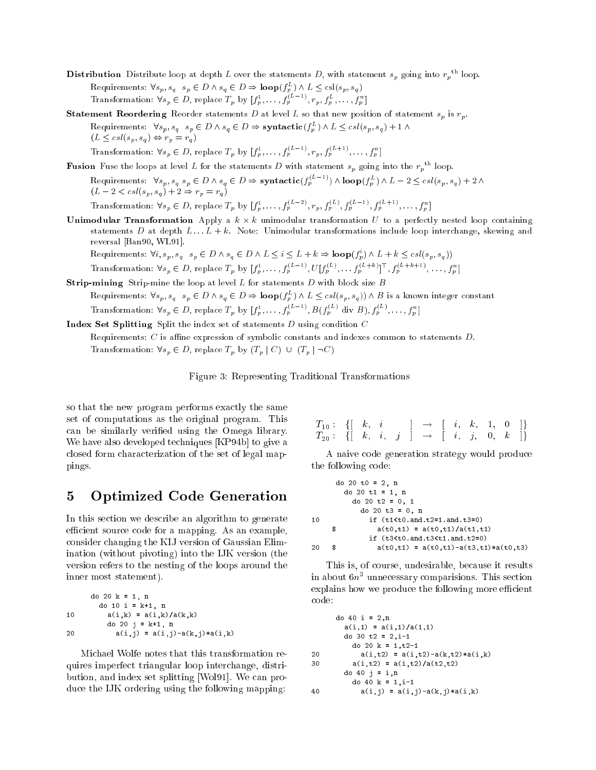- Distribution Distribute loop at depth L over the statements D, with statement  $s_p$  going into  $r_p$  foop. Requirements:  $\nabla s_p$ ,  $s_q$   $s_p \in D \wedge s_q \in D \Rightarrow$  **loop**( $\{f_p^{\sim}\}\wedge L \leq$  csl( $s_p$ ,  $s_q$ ) Transformation:  $\forall s_p \in D$ , replace  $T_p$  by  $|f_p^1, \ldots, f_p^{p-1}, r_p, f_p^p, \ldots, f_p^{n}|$
- Statement Reordering Reorder statements <sup>D</sup> at level <sup>L</sup> so that new position of statement sp is rp. Requirements:  $\nabla s_p$ ,  $s_q$   $s_p \in D \wedge s_q \in D \Rightarrow$  syntactic( $\int_{\pi}^{\pi} \int \wedge L \leq c s \iota(s_p, s_q) + 1 \wedge$  $(L \leq csl(s_p, s_q) \Leftrightarrow r_p = r_q)$

**Fusion** Fuse the loops at level L for the statements D with statement  $s_p$  going into the  $r_p$  " loop.

Transformation:  $\forall s_p \in D$ , replace  $T_p$  by  $|f_p^1, \ldots, f_p^{n-1}, r_p, f_p^{n-1}, \ldots, f_p^{n}|$ 

Requirements:  $\forall s_p, s_q \ s_p \in D \land s_q \in D \Rightarrow$  syntactic( $f_p^{(n-1)} \land \text{loop}(f_p^{(n)}) \land L - 2 \leq \text{cs}(s_p, s_q) + 2 \land$  $\sqrt{2}$  ,  $\sqrt{2}$  ,  $\sqrt{2}$  ,  $\sqrt{2}$  ,  $\sqrt{2}$  ,  $\sqrt{2}$  ,  $\sqrt{2}$  ,  $\sqrt{2}$  ,  $\sqrt{2}$  ,  $\sqrt{2}$  ,  $\sqrt{2}$ 

Transformation:  $\forall s_p \in D$ , replace  $T_p$  by  $|f_p, \ldots, f_p^{p-1}, r_p, f_p^{p-1}, f_p^{p-1}, f_p^{p-1}, \ldots, f_p^{p-1}$ 

Unimodular Transformation Apply a <sup>k</sup> - <sup>k</sup> unimodular transformation <sup>U</sup> to a perfectly nested loop containing statements D at depth  $L \ldots L + k$ . Note: Unimodular transformations include loop interchange, skewing and reversal [Ban90, WL91].

Requirements:  $\nabla i$ ,  $S_p$ ,  $S_q$   $S_p$   $\in$  D  $\wedge$   $S_q$   $\in$  D  $\wedge$  L  $\leq$  i  $\leq$  L  $\rightarrow$  K  $\Rightarrow$  **loop**( $f_p$ )  $\wedge$  L  $\rightarrow$  K  $\leq$  csl( $s_p$ ,  $s_q$ )) Transformation:  $\forall s_p \in D$ , replace  $T_p$  by  $|f_p^1, \ldots, f_p^{p^{n-2}} \rangle$ ,  $U|f_p^{p-2}, \ldots, f_p^{p^{n-2}} \rangle$ ,  $|f_p^{p^{n-2}-2} \rangle$ ,  $\ldots, f_p^{p^{n-2}}$ 

Strip-mining Strip-mine the loop at level <sup>L</sup> for statements <sup>D</sup> with block size <sup>B</sup>

Requirements:  $\nabla s_p$ ,  $s_q$   $s_p \in D \wedge s_q \in D \Rightarrow \textbf{loop}(f_p^-) \wedge L \leq \text{cs}(\{s_p, s_q\}) \wedge B$  is a known integer constant Transformation:  $\forall s_p \in D$ , replace  $T_p$  by  $|f_p, \ldots, f_p^{(n-1)}|$ ,  $B(f_p^{(n-1)} \text{div } B), f_p^{(n-1)}, \ldots, f_p^{(n-1)}|$ 

Index Set Splitting Split the index set of statements <sup>D</sup> using condition <sup>C</sup>

Requirements:  $C$  is affine expression of symbolic constants and indexes common to statements  $D$ .

Transformation:  $\forall s_p \in D$ , replace  $T_p$  by  $(T_p | C) \cup (T_p | \neg C)$ 

Figure 3: Representing Traditional Transformations

so that the new program performs exactly the same set of computations as the original program. This can be similarly veried using the Omega library. We have also developed techniques [KP94b] to give a closed form characterization of the set of legal mappings.

# 5 Optimized Code Generation

In this section we describe an algorithm to generate efficient source code for a mapping. As an example, consider changing the KIJ version of Gaussian Elimination (without pivoting) into the IJK version (the version refers to the nesting of the loops around the inner most statement).

```
do 20 k = 1, n
     do 20 k = 1, n
       do 10 i = k+1, n
10 a(i,k) = a(i,k)/a(k,k)do 20 j = k+1, n
20 a(i,j) = a(i,j) - a(k,j) * a(i,k)
```
Michael Wolfe notes that this transformation requires imperfect triangular loop interchange, distribution, and index set splitting [Wol91]. We can produce the IJK ordering using the following mapping:

| $T_{10}: \ \ \{[\begin{array}{cccccc} k, & i & & ] \end{array} \ \rightarrow \ \ [\begin{array}{cccccc} i, & k, & 1, & 0 \end{array}]\}$                                               |  |  |  |  |  |  |
|----------------------------------------------------------------------------------------------------------------------------------------------------------------------------------------|--|--|--|--|--|--|
| $T_{20}:\ \ \left\{ \left[ \begin{array}{cccccccccc} k, & i, & j & \end{array} \right] & \rightarrow & \left[ \begin{array}{cccccccc} i, & j, & 0, & k & \end{array} \right] \right\}$ |  |  |  |  |  |  |

A naive code generation strategy would produce the following code:

|    | do 20 t0 = 2, n                                       |
|----|-------------------------------------------------------|
|    | do 20 t1 = 1, n                                       |
|    | do 20 t2 = $0.1$                                      |
|    | do 20 t3 = $0.$ n                                     |
| 10 | if $(t1 < t0$ and $t2 = 1$ and $t3 = 0$ )             |
|    | \$<br>$a(t0,t1) = a(t0,t1)/a(t1,t1)$                  |
|    | if $(t3 < t0$ and $t3 < t1$ and $t2=0$ )              |
| 20 | \$<br>$a(t0, t1) = a(t0, t1) - a(t3, t1) * a(t0, t3)$ |

This is, of course, undesirable, because it results  $\ln$  about  $\sigma n$  -unnecessary comparisions. This section explains how we produce the following more efficient code:

```
do 40 i = 2,n
       a(i,1) = a(i,1)/a(1,1)do 30 t2 = 2,i-1
         do 20 k = 1.t2-1
          a. 20 ko
20 a(i, t2) = a(i, t2) - a(k, t2) * a(i, k)30 a(i, t2) = a(i, t2)/a(t2, t2)do 40 j = i,n
         do 40 k = 1,i-1a(i,j) = a(i,j) - a(k,j) * a(i,k)40
```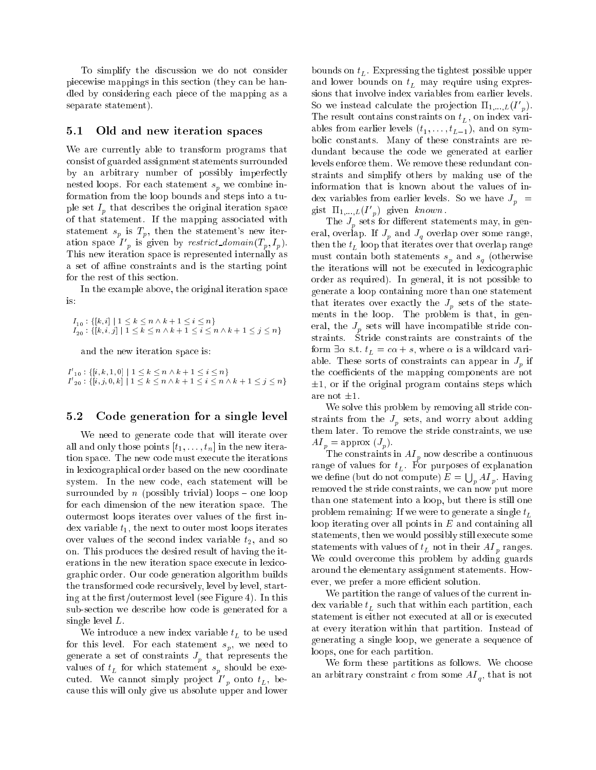To simplify the discussion we do not consider piecewise mappings in this section (they can be handled by considering each piece of the mapping as a separate statement).

#### 5.1Old and new iteration spaces

We are currently able to transform programs that consist of guarded assignment statements surrounded by an arbitrary number of possibly imperfectly nested in prove a combine in the component space in  $p$  we combine information from the loop bounds and steps into a tu- ${\bf r}$  , and describes the original iteration space  ${\bf r}$  and of that statement. If the mapping associated with statement  $s_n$  is  $T_n$ , then the statement's new iteration space  $I_{n}$  is given by restrict aomain  $(I_{n}, I_{n}).$ This new iteration space is represented internally as a set of affine constraints and is the starting point for the rest of this section.

In the example above, the original iteration space is:

```
I_{20} : {[k, i, j] | 1 \leq k \leq n \wedge k + 1 \leq i \leq n \wedge k + 1 \leq j \leq n}
```
and the new iteration space is:

 $\begin{array}{l} \{I_{-10}: \{[l,k,1,0]\mid 1\leq k\leq n\wedge k+1\leq i\leq n\}\ I'_{-20}: \{[i,j,0,k]\mid 1\leq k\leq n\wedge k+1\leq i\leq n\wedge k+1\leq j\leq n\} \end{array}$ 

### 5.2Code generation for <sup>a</sup> single level

We need to generate code that will iterate over all and only those points  $[t_1, \ldots, t_n]$  in the new iteration space. The new code must execute the iterations in lexicographical order based on the new coordinate system. In the new code, each statement will be surrounded by n (possibly trivial) loops  $-$  one loop for each dimension of the new iteration space. The outermost loops iterates over values of the first index variable  $t_1$ , the next to outer most loops iterates over values of the second index variable  $t_2$ , and so on. This produces the desired result of having the iterations in the new iteration space execute in lexicographic order. Our code generation algorithm builds the transformed code recursively, level by level, starting at the first/outermost level (see Figure 4). In this sub-section we describe how code is generated for a single level L.

We introduce a new index variable  $t_L$  to be used for this level. For each statement s $p$ , we need to generate a set of constraints  $J_p$  that represents the  $\Gamma$ cuted. We cannot simply project  $I_{p}$  onto  $\iota_{L}$ , because this will only give us absolute upper and lower

bounds on the tightest possible upper set  $\mathbf r$  is the tightest possible upper set  $\mathbf r$ and a reduce bounds on the supervisor  $\mathbf{u}$  and  $\mathbf{u}$  are constantly expressed to  $\mathbf{u}$ sions that involve index variables from earlier levels. so we instead calculate the projection  $\mathbf{H}_{1,...,L}(\mathbf{I}_{p}).$ The result contains constraints on  $t_L$ , on index variables from earlier levels  $\setminus \cdot_1, \ldots, \cdot_L=$   $\setminus \cdot$ bolic constants. Many of these constraints are redundant because the code we generated at earlier levels enforce them. We remove these redundant constraints and simplify others by making use of the information that is known about the values of index variables from earlier levels. So we have  $J_n$  = gist  $\mathbf{H}_{1,...,L}(\mathbf{I}_{n})$  given  $known$ .

The  $J_p$  sets for different statements may, in general, overlap. If  $J_p$  and  $J_q$  overlap over some range, then the  $t_L$  loop that iterates over that overlap range must contain both statements such statements such an  $q$  (otherwise the iterations will not be executed in lexicographic order as required). In general, it is not possible to generate a loop containing more than one statement that iterates over exactly the  $J_p$  sets of the statements in the loop. The problem is that, in general, the  $J_p$  sets will have incompatible stride constraints. Stride constraints are constraints of the form extending the state  $\mathcal{L}$  state  $\mathcal{L}$  , where  $\mathcal{L}$  is a wildcard variable variable. These sorts of constraints can appear in  $J_p$  if the coefficients of the mapping components are not  $\pm 1$ , or if the original program contains steps which are not  $\pm 1$ .

We solve this problem by removing all stride constraints from the  $J_p$  sets, and worry about adding them later. To remove the stride constraints, we use  $\mathbf{P} = \mathbf{p} \mathbf{p} \mathbf{p} \mathbf{p}$  , and  $\mathbf{p} \mathbf{p} \mathbf{p} \mathbf{p}$ .

The constraints in AI <sup>p</sup> now describe <sup>a</sup> continuous range of values for the contractions of experimental contractions of experimental contractions of explanations we define (but do not compute)  $E = \bigcup_p AI_p$ . Having removed the stride constraints, we can now put more than one statement into a loop, but there is still one problem remaining: If we were to generate a single  $t_L$ loop iterating over all points in  $E$  and containing all statements, then we would possibly still execute some statements with values of t $L$  not in the values  $p$  ranges. We could overcome this problem by adding guards around the elementary assignment statements. However, we prefer a more efficient solution.

We partition the range of values of the current index variable  $t<sub>L</sub>$  such that within each partition, each statement is either not executed at all or is executed at every iteration within that partition. Instead of generating a single loop, we generate a sequence of loops, one for each partition.

We form these partitions as follows. We choose and are some  $\sigma$  constraint constraint constraint constraint  $\mu$  , that is not in  $\sigma$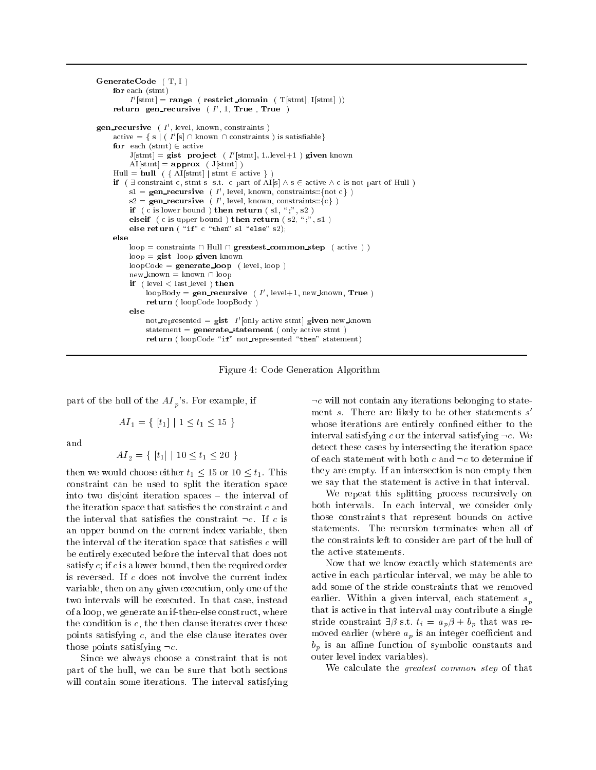```
\mathcal{L} = \{ \mathcal{L} \mid \mathcal{L} = \mathcal{L} \}for each (stmt)
          I |\text{sum}| = \text{range} ( \text{restrict\_domain} ( I|\text{sum1} I)
     return gen recursive (1,1,1 rue,1 rue)
gen_recursive (1, level, known, constraints)
     \mathrm{accive} \equiv { \mathrm{s} | ( \mathrm{I} | \mathrm{s}| + | Known | | constraints ) is satisfiable {
     for each (stmt) 2 active
          J[\text{sum}] = gist project ( I \text{sum} , 1...evel + 1 ) given known
         AI[stmt] = <b>approx</b> (J[stmt])Hull = hull ( { AI[stmt] | stmt \in active } )
     if ( 9 constraint c, state s set: c part of AI[s] \epsilon . Set: c is not part of Hull \betas_1 = \text{gen\_recursive} \left( I \right), level, known, constraints::fnot cf \circ fs_2 = \text{gen\_recursion} ( I , level, known, constraints::\{c\} )
          if ( c is lower bound ) then return ( s1, \;", s2 )
          else is a complete bound \alpha , then return from \alpha , the \alphaelse return ( ) c \sim since \sim since \sim \sim \simloop = constraints \cap Hull \cap greatest_{common\_step} (active) )loop = gist loop given known
         loopCode = generate\_loop (level, loop)
         new_known = known \cap loop
          if ( level < last level ) then
               100pBody = gen_recursive (1, level+1, new_known, frue)
               return ( loopCode loopBody )
         else
               not_represented = gist 1 |only active stmt| given new_known
              statement = generate statement ( only active stmt)
               return ( loop code - are - moleculared - representation )
```
Figure 4: Code Generation Algorithm

part of the hull of the  $AI_{n}$ 's. For example, if

$$
AI_1 = \{ [t_1] | 1 \le t_1 \le 15 \}
$$

and

$$
AI_2 = \{ [t_1] | 10 \le t_1 \le 20 \}
$$

then we would choose either  $t_1 \leq 15$  or  $10 \leq t_1$ . This constraint can be used to split the iteration space into two disjoint iteration spaces  $-$  the interval of the iteration space that satisfies the constraint  $c$  and the interval that satisfies the constraint  $\neg c$ . If c is an upper bound on the current index variable, then the interval of the iteration space that satisfies  $c$  will be entirely executed before the interval that does not satisfy c; if c is a lower bound, then the required order is reversed. If c does not involve the current index variable, then on any given execution, only one of the two intervals will be executed. In that case, instead of a loop, we generate an if-then-else construct, where the condition is  $c$ , the then clause iterates over those points satisfying c, and the else clause iterates over those points satisfying  $\neg c$ .

Since we always choose a constraint that is not part of the hull, we can be sure that both sections will contain some iterations. The interval satisfying

 $\neg c$  will not contain any iterations belonging to statement  $s$ . There are likely to be other statements  $s$ whose iterations are entirely confined either to the interval satisfying c or the interval satisfying  $\neg c$ . We detect these cases by intersecting the iteration space of each statement with both  $c$  and  $\neg c$  to determine if they are empty. If an intersection is non-empty then we say that the statement is active in that interval.

We repeat this splitting process recursively on both intervals. In each interval, we consider only those constraints that represent bounds on active statements. The recursion terminates when all of the constraints left to consider are part of the hull of the active statements.

Now that we know exactly which statements are active in each particular interval, we may be able to add some of the stride constraints that we removed earlier. Within a given interval, each statement  $s_p$ <sup>p</sup> that is active in that interval may contribute a single stride constraint  $\exists \beta$  s.t.  $t_i = a_p \beta + b_p$  that was removed earlier (where  $a_p$  is an integer coefficient and  $b_p$  is an affine function of symbolic constants and outer level index variables).

We calculate the greatest common step of that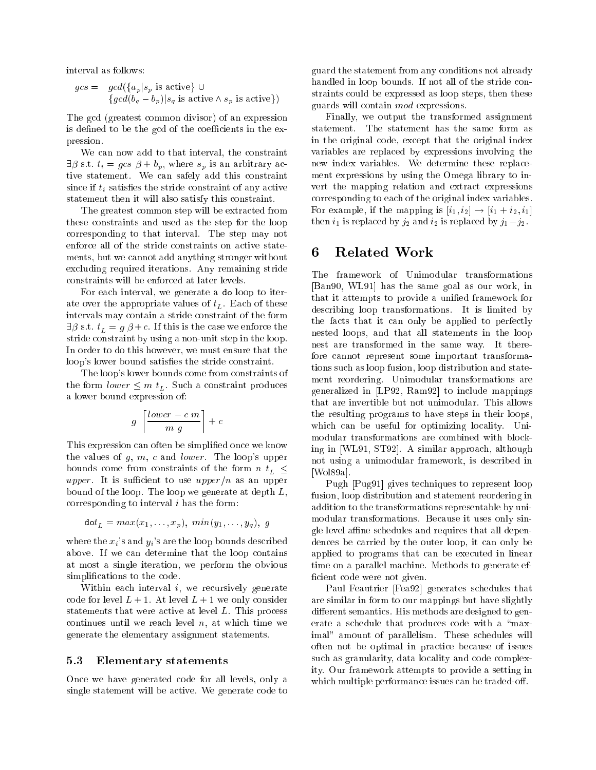interval as follows:

$$
gcs = \gcd(\{a_p | s_p \text{ is active}\} \cup
$$
  

$$
\{gcd(b_q - b_p) | s_q \text{ is active } \land s_p \text{ is active}\})
$$

The gcd (greatest common divisor) of an expression is defined to be the gcd of the coefficients in the expression.

We can now add to that interval, the constraint  $\exists \beta \text{ s.t. } t_i = gcs \beta + b_p$ , where  $s_p$  is an arbitrary active statement. We can safely add this constraint since if  $t_i$  satisfies the stride constraint of any active statement then it will also satisfy this constraint.

The greatest common step will be extracted from these constraints and used as the step for the loop corresponding to that interval. The step may not enforce all of the stride constraints on active statements, but we cannot add anything stronger without excluding required iterations. Any remaining stride constraints will be enforced at later levels.

For each interval, we generate a do loop to iterate over the appropriate values of  $t_L$ . Each of these intervals may contain a stride constraint of the form  $\exists \beta$  s.t.  $t_L = g \beta + c$ . If this is the case we enforce the stride constraint by using a non-unit step in the loop. In order to do this however, we must ensure that the loop's lower bound satisfies the stride constraint.

The loop's lower bounds come from constraints of the form lower  $\equiv$  and  $_L$  such a constraint produces a lower bound expression of:

$$
g \left\lceil \frac{lower-c \ m}{m \ g} \right\rceil + c
$$

This expression can often be simplified once we know the values of  $g, m, c$  and *lower*. The loop's upper bounds come from constraints of the form  $n t_L \leq$ upper. It is sufficient to use upper  $(n \text{ as an upper})$ bound of the loop. The loop we generate at depth L, corresponding to interval i has the form:

$$
\mathtt{dot}_L = max(x_1, \ldots, x_p), \; min(y_1, \ldots, y_q), \; g
$$

where the  $x_i$ 's and  $y_i$ 's are the loop bounds described above. If we can determine that the loop contains at most a single iteration, we perform the obvious simplifications to the code.

Within each interval  $i$ , we recursively generate code for level  $L + 1$ . At level  $L + 1$  we only consider statements that were active at level L. This process continues until we reach level  $n$ , at which time we generate the elementary assignment statements.

#### 5.3Elementary statements

Once we have generated code for all levels, only a single statement will be active. We generate code to

guard the statement from any conditions not already handled in loop bounds. If not all of the stride constraints could be expressed as loop steps, then these guards will contain mod expressions.

Finally, we output the transformed assignment statement. The statement has the same form as in the original code, except that the original index variables are replaced by expressions involving the new index variables. We determine these replacement expressions by using the Omega library to invert the mapping relation and extract expressions corresponding to each of the original index variables. For example, if the mapping is  $[i_1, i_2] \rightarrow [i_1 + i_2, i_1]$ then  $i_1$  is replaced by  $j_2$  and  $i_2$  is replaced by  $j_1-j_2$ .

### Related Work 6

The framework of Unimodular transformations [Ban90, WL91] has the same goal as our work, in that it attempts to provide a unified framework for describing loop transformations. It is limited by the facts that it can only be applied to perfectly nested loops, and that all statements in the loop nest are transformed in the same way. It therefore cannot represent some important transformations such as loop fusion, loop distribution and statement reordering. Unimodular transformations are generalized in [LP92, Ram92] to include mappings that are invertible but not unimodular. This allows the resulting programs to have steps in their loops, which can be useful for optimizing locality. Unimodular transformations are combined with blocking in [WL91, ST92]. A similar approach, although not using a unimodular framework, is described in [Wol89a]. [Wol89a].

Pugh [Pug91] gives techniques to represent loop fusion, loop distribution and statement reordering in addition to the transformations representable by unimodular transformations. Because it uses only single level affine schedules and requires that all dependences be carried by the outer loop, it can only be applied to programs that can be executed in linear time on a parallel machine. Methods to generate ef ficient code were not given.

Paul Feautrier [Fea92] generates schedules that are similar in form to our mappings but have slightly different semantics. His methods are designed to generate a schedule that produces code with a "maximal" amount of parallelism. These schedules will often not be optimal in practice because of issues such as granularity, data locality and code complexity. Our framework attempts to provide a setting in which multiple performance issues can be traded-off.